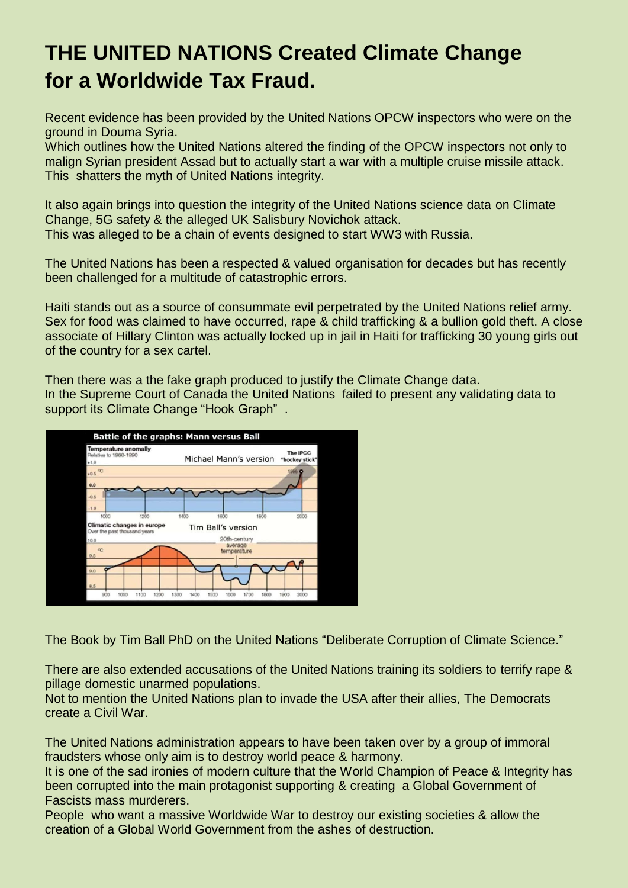## **THE UNITED NATIONS Created Climate Change for a Worldwide Tax Fraud.**

Recent evidence has been provided by the United Nations OPCW inspectors who were on the ground in Douma Syria.

Which outlines how the United Nations altered the finding of the OPCW inspectors not only to malign Syrian president Assad but to actually start a war with a multiple cruise missile attack. This shatters the myth of United Nations integrity.

It also again brings into question the integrity of the United Nations science data on Climate Change, 5G safety & the alleged UK Salisbury Novichok attack. This was alleged to be a chain of events designed to start WW3 with Russia.

The United Nations has been a respected & valued organisation for decades but has recently been challenged for a multitude of catastrophic errors.

Haiti stands out as a source of consummate evil perpetrated by the United Nations relief army. Sex for food was claimed to have occurred, rape & child trafficking & a bullion gold theft. A close associate of Hillary Clinton was actually locked up in jail in Haiti for trafficking 30 young girls out of the country for a sex cartel.

Then there was a the fake graph produced to justify the Climate Change data. In the Supreme Court of Canada the United Nations failed to present any validating data to support its Climate Change "Hook Graph" .



The Book by Tim Ball PhD on the United Nations "Deliberate Corruption of Climate Science."

There are also extended accusations of the United Nations training its soldiers to terrify rape & pillage domestic unarmed populations.

Not to mention the United Nations plan to invade the USA after their allies, The Democrats create a Civil War.

The United Nations administration appears to have been taken over by a group of immoral fraudsters whose only aim is to destroy world peace & harmony.

It is one of the sad ironies of modern culture that the World Champion of Peace & Integrity has been corrupted into the main protagonist supporting & creating a Global Government of Fascists mass murderers.

People who want a massive Worldwide War to destroy our existing societies & allow the creation of a Global World Government from the ashes of destruction.